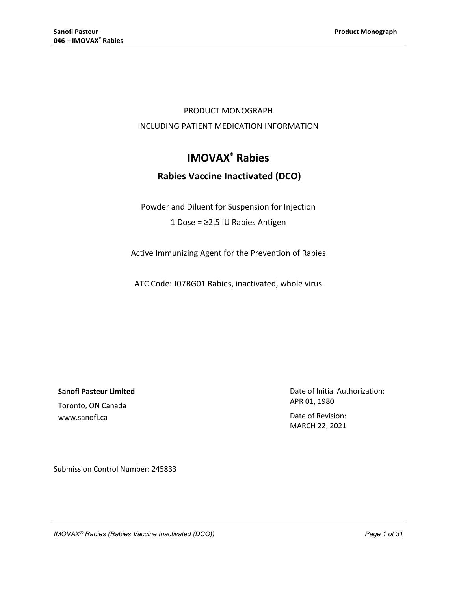## PRODUCT MONOGRAPH INCLUDING PATIENT MEDICATION INFORMATION

# **IMOVAX® Rabies**

## **Rabies Vaccine Inactivated (DCO)**

Powder and Diluent for Suspension for Injection 1 Dose = ≥2.5 IU Rabies Antigen

Active Immunizing Agent for the Prevention of Rabies

ATC Code: J07BG01 Rabies, inactivated, whole virus

**Sanofi Pasteur Limited**

Toronto, ON Canada www.sanofi.ca

Date of Initial Authorization: APR 01, 1980

Date of Revision: MARCH 22, 2021

Submission Control Number: 245833

*IMOVAX® Rabies (Rabies Vaccine Inactivated (DCO)) Page 1 of 31*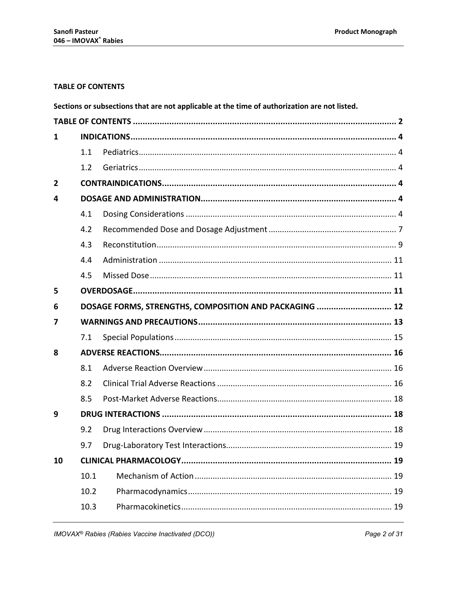## <span id="page-1-0"></span>**TABLE OF CONTENTS**

|                |                                                        | Sections or subsections that are not applicable at the time of authorization are not listed. |  |  |
|----------------|--------------------------------------------------------|----------------------------------------------------------------------------------------------|--|--|
|                |                                                        |                                                                                              |  |  |
| $\mathbf{1}$   |                                                        |                                                                                              |  |  |
|                | 1.1                                                    |                                                                                              |  |  |
|                | 1.2                                                    |                                                                                              |  |  |
| $\overline{2}$ |                                                        |                                                                                              |  |  |
| 4              |                                                        |                                                                                              |  |  |
|                | 4.1                                                    |                                                                                              |  |  |
|                | 4.2                                                    |                                                                                              |  |  |
|                | 4.3                                                    |                                                                                              |  |  |
|                | 4.4                                                    |                                                                                              |  |  |
|                | 4.5                                                    |                                                                                              |  |  |
| 5              |                                                        |                                                                                              |  |  |
| 6              | DOSAGE FORMS, STRENGTHS, COMPOSITION AND PACKAGING  12 |                                                                                              |  |  |
| 7              |                                                        |                                                                                              |  |  |
|                | 7.1                                                    |                                                                                              |  |  |
| 8              |                                                        |                                                                                              |  |  |
|                | 8.1                                                    |                                                                                              |  |  |
|                | 8.2                                                    |                                                                                              |  |  |
|                | 8.5                                                    |                                                                                              |  |  |
| 9              |                                                        |                                                                                              |  |  |
|                | 9.2                                                    |                                                                                              |  |  |
|                | 9.7                                                    |                                                                                              |  |  |
| 10             |                                                        |                                                                                              |  |  |
|                | 10.1                                                   |                                                                                              |  |  |
|                | 10.2                                                   |                                                                                              |  |  |
|                | 10.3                                                   |                                                                                              |  |  |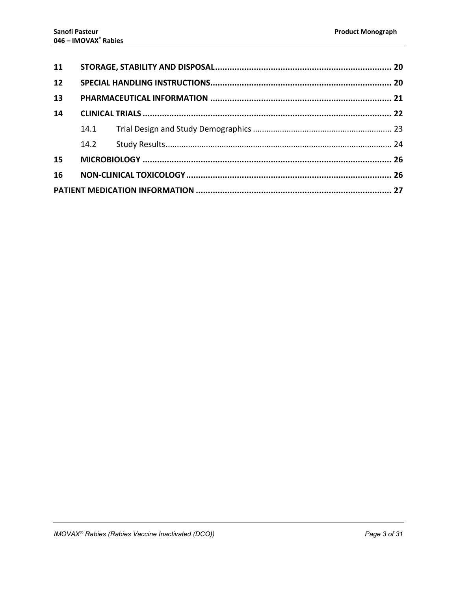| 11 |      |  |  |  |
|----|------|--|--|--|
| 12 |      |  |  |  |
| 13 |      |  |  |  |
| 14 |      |  |  |  |
|    |      |  |  |  |
|    | 14.2 |  |  |  |
| 15 |      |  |  |  |
| 16 |      |  |  |  |
|    |      |  |  |  |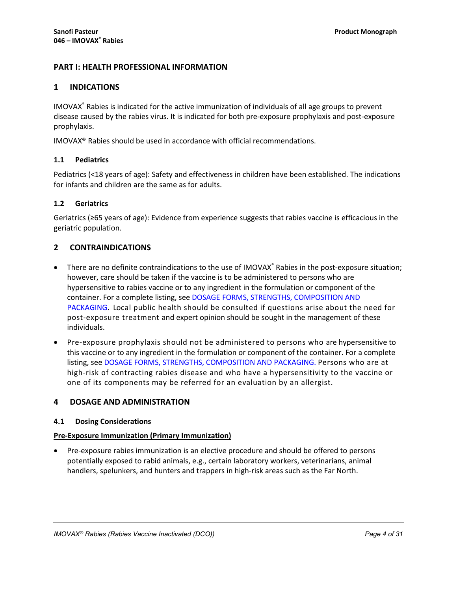## **PART I: HEALTH PROFESSIONAL INFORMATION**

## <span id="page-3-0"></span>**1 INDICATIONS**

IMOVAX® Rabies is indicated for the active immunization of individuals of all age groups to prevent disease caused by the rabies virus. It is indicated for both pre-exposure prophylaxis and post-exposure prophylaxis.

IMOVAX® Rabies should be used in accordance with official recommendations.

## <span id="page-3-1"></span>**1.1 Pediatrics**

Pediatrics (<18 years of age): Safety and effectiveness in children have been established. The indications for infants and children are the same as for adults.

## <span id="page-3-2"></span>**1.2 Geriatrics**

Geriatrics (≥65 years of age): Evidence from experience suggests that rabies vaccine is efficacious in the geriatric population.

## <span id="page-3-3"></span>**2 CONTRAINDICATIONS**

- There are no definite contraindications to the use of IMOVAX® Rabies in the post-exposure situation; however, care should be taken if the vaccine is to be administered to persons who are hypersensitive to rabies vaccine or to any ingredient in the formulation or component of the container. For a complete listing, see DOSAGE [FORMS, STRENGTHS,](#page-11-0) COMPOSITION AND [PACKAGING](#page-11-0). Local public health should be consulted if questions arise about the need for post-exposure treatment and expert opinion should be sought in the management of these individuals.
- Pre-exposure prophylaxis should not be administered to persons who are hypersensitive to this vaccine or to any ingredient in the formulation or component of the container. For a complete listing, see DOSAGE FORMS, STRENGTHS, [COMPOSITION AND PACKAGING](#page-11-0). Persons who are at high-risk of contracting rabies disease and who have a hypersensitivity to the vaccine or one of its components may be referred for an evaluation by an allergist.

## <span id="page-3-4"></span>**4 DOSAGE AND ADMINISTRATION**

## <span id="page-3-5"></span>**4.1 Dosing Considerations**

## **Pre-Exposure Immunization (Primary Immunization)**

• Pre-exposure rabies immunization is an elective procedure and should be offered to persons potentially exposed to rabid animals, e.g., certain laboratory workers, veterinarians, animal handlers, spelunkers, and hunters and trappers in high-risk areas such as the Far North.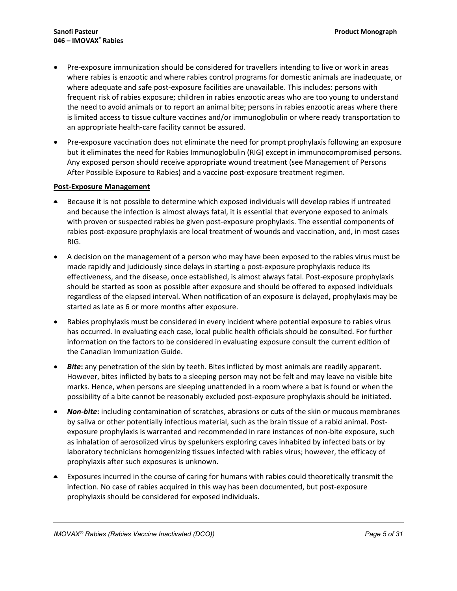- Pre-exposure immunization should be considered for travellers intending to live or work in areas where rabies is enzootic and where rabies control programs for domestic animals are inadequate, or where adequate and safe post-exposure facilities are unavailable. This includes: persons with frequent risk of rabies exposure; children in rabies enzootic areas who are too young to understand the need to avoid animals or to report an animal bite; persons in rabies enzootic areas where there is limited access to tissue culture vaccines and/or immunoglobulin or where ready transportation to an appropriate health-care facility cannot be assured.
- Pre-exposure vaccination does not eliminate the need for prompt prophylaxis following an exposure but it eliminates the need for Rabies Immunoglobulin (RIG) except in immunocompromised persons. Any exposed person should receive appropriate wound treatment (see Management of Persons After Possible Exposure to Rabies) and a vaccine post-exposure treatment regimen.

## **Post-Exposure Management**

- Because it is not possible to determine which exposed individuals will develop rabies if untreated and because the infection is almost always fatal, it is essential that everyone exposed to animals with proven or suspected rabies be given post-exposure prophylaxis. The essential components of rabies post-exposure prophylaxis are local treatment of wounds and vaccination, and, in most cases RIG.
- A decision on the management of a person who may have been exposed to the rabies virus must be made rapidly and judiciously since delays in starting a post-exposure prophylaxis reduce its effectiveness, and the disease, once established, is almost always fatal. Post-exposure prophylaxis should be started as soon as possible after exposure and should be offered to exposed individuals regardless of the elapsed interval. When notification of an exposure is delayed, prophylaxis may be started as late as 6 or more months after exposure.
- Rabies prophylaxis must be considered in every incident where potential exposure to rabies virus has occurred. In evaluating each case, local public health officials should be consulted. For further information on the factors to be considered in evaluating exposure consult the current edition of the Canadian Immunization Guide.
- *Bite***:** any penetration of the skin by teeth. Bites inflicted by most animals are readily apparent. However, bites inflicted by bats to a sleeping person may not be felt and may leave no visible bite marks. Hence, when persons are sleeping unattended in a room where a bat is found or when the possibility of a bite cannot be reasonably excluded post-exposure prophylaxis should be initiated.
- *Non-bite***:** including contamination of scratches, abrasions or cuts of the skin or mucous membranes by saliva or other potentially infectious material, such as the brain tissue of a rabid animal. Postexposure prophylaxis is warranted and recommended in rare instances of non-bite exposure, such as inhalation of aerosolized virus by spelunkers exploring caves inhabited by infected bats or by laboratory technicians homogenizing tissues infected with rabies virus; however, the efficacy of prophylaxis after such exposures is unknown.
- Exposures incurred in the course of caring for humans with rabies could theoretically transmit the infection. No case of rabies acquired in this way has been documented, but post-exposure prophylaxis should be considered for exposed individuals.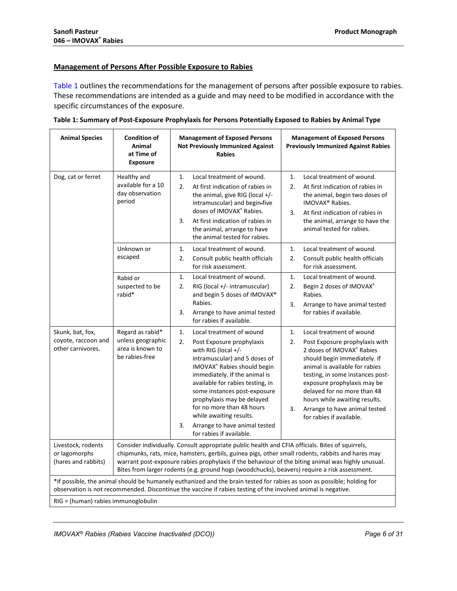## **Management of Persons After Possible Exposure to Rabies**

[Table](#page-5-0) 1 outlines the recommendations for the management of persons after possible exposure to rabies. These recommendations are intended as a guide and may need to be modified in accordance with the specific circumstances of the exposure.

| <b>Animal Species</b>                                                                                                                                                                                                                    | <b>Condition of</b><br>Animal<br>at Time of<br><b>Exposure</b>                                                                                                                                                                                                                                                                                                                                               | <b>Management of Exposed Persons</b><br><b>Not Previously Immunized Against</b><br><b>Rabies</b>                                                                                                                                                                                                                                                                                                                       | <b>Management of Exposed Persons</b><br><b>Previously Immunized Against Rabies</b>                                                                                                                                                                                                                                                                                          |  |  |
|------------------------------------------------------------------------------------------------------------------------------------------------------------------------------------------------------------------------------------------|--------------------------------------------------------------------------------------------------------------------------------------------------------------------------------------------------------------------------------------------------------------------------------------------------------------------------------------------------------------------------------------------------------------|------------------------------------------------------------------------------------------------------------------------------------------------------------------------------------------------------------------------------------------------------------------------------------------------------------------------------------------------------------------------------------------------------------------------|-----------------------------------------------------------------------------------------------------------------------------------------------------------------------------------------------------------------------------------------------------------------------------------------------------------------------------------------------------------------------------|--|--|
| Dog, cat or ferret                                                                                                                                                                                                                       | Healthy and<br>available for a 10<br>day observation<br>period                                                                                                                                                                                                                                                                                                                                               | Local treatment of wound.<br>1.<br>2.<br>At first indication of rabies in<br>the animal, give RIG (local +/-<br>intramuscular) and begin-five<br>doses of IMOVAX® Rabies.<br>At first indication of rabies in<br>3.<br>the animal, arrange to have<br>the animal tested for rabies.                                                                                                                                    | Local treatment of wound.<br>1.<br>2.<br>At first indication of rabies in<br>the animal, begin two doses of<br>IMOVAX <sup>®</sup> Rabies.<br>3.<br>At first indication of rabies in<br>the animal, arrange to have the<br>animal tested for rabies.                                                                                                                        |  |  |
|                                                                                                                                                                                                                                          | Unknown or<br>escaped                                                                                                                                                                                                                                                                                                                                                                                        | 1.<br>Local treatment of wound.<br>2.<br>Consult public health officials<br>for risk assessment.                                                                                                                                                                                                                                                                                                                       | Local treatment of wound.<br>1.<br>2.<br>Consult public health officials<br>for risk assessment.                                                                                                                                                                                                                                                                            |  |  |
|                                                                                                                                                                                                                                          | Rabid or<br>suspected to be<br>rabid*                                                                                                                                                                                                                                                                                                                                                                        | 1.<br>Local treatment of wound.<br>2.<br>RIG (local +/- intramuscular)<br>and begin 5 doses of IMOVAX®<br>Rabies.<br>3.<br>Arrange to have animal tested<br>for rabies if available.                                                                                                                                                                                                                                   | Local treatment of wound.<br>1.<br>2.<br>Begin 2 doses of IMOVAX®<br>Rabies.<br>3.<br>Arrange to have animal tested<br>for rabies if available.                                                                                                                                                                                                                             |  |  |
| Skunk, bat, fox,<br>coyote, raccoon and<br>other carnivores.                                                                                                                                                                             | Regard as rabid*<br>unless geographic<br>area is known to<br>be rabies-free                                                                                                                                                                                                                                                                                                                                  | 1.<br>Local treatment of wound<br>2.<br>Post Exposure prophylaxis<br>with RIG (local +/-<br>intramuscular) and 5 doses of<br>IMOVAX® Rabies should begin<br>immediately. If the animal is<br>available for rabies testing, in<br>some instances post-exposure<br>prophylaxis may be delayed<br>for no more than 48 hours<br>while awaiting results.<br>Arrange to have animal tested<br>3.<br>for rabies if available. | Local treatment of wound<br>1.<br>2.<br>Post Exposure prophylaxis with<br>2 doses of IMOVAX® Rabies<br>should begin immediately. If<br>animal is available for rabies<br>testing, in some instances post-<br>exposure prophylaxis may be<br>delayed for no more than 48<br>hours while awaiting results.<br>3.<br>Arrange to have animal tested<br>for rabies if available. |  |  |
| Livestock, rodents<br>or lagomorphs<br>(hares and rabbits)                                                                                                                                                                               | Consider individually. Consult appropriate public health and CFIA officials. Bites of squirrels,<br>chipmunks, rats, mice, hamsters, gerbils, guinea pigs, other small rodents, rabbits and hares may<br>warrant post-exposure rabies prophylaxis if the behaviour of the biting animal was highly unusual.<br>Bites from larger rodents (e.g. ground hogs (woodchucks), beavers) require a risk assessment. |                                                                                                                                                                                                                                                                                                                                                                                                                        |                                                                                                                                                                                                                                                                                                                                                                             |  |  |
| *If possible, the animal should be humanely euthanized and the brain tested for rabies as soon as possible; holding for<br>observation is not recommended. Discontinue the vaccine if rabies testing of the involved animal is negative. |                                                                                                                                                                                                                                                                                                                                                                                                              |                                                                                                                                                                                                                                                                                                                                                                                                                        |                                                                                                                                                                                                                                                                                                                                                                             |  |  |
| RIG = (human) rabies immunoglobulin                                                                                                                                                                                                      |                                                                                                                                                                                                                                                                                                                                                                                                              |                                                                                                                                                                                                                                                                                                                                                                                                                        |                                                                                                                                                                                                                                                                                                                                                                             |  |  |

<span id="page-5-0"></span>

| Table 1: Summary of Post-Exposure Prophylaxis for Persons Potentially Exposed to Rabies by Animal Type |  |  |
|--------------------------------------------------------------------------------------------------------|--|--|
|--------------------------------------------------------------------------------------------------------|--|--|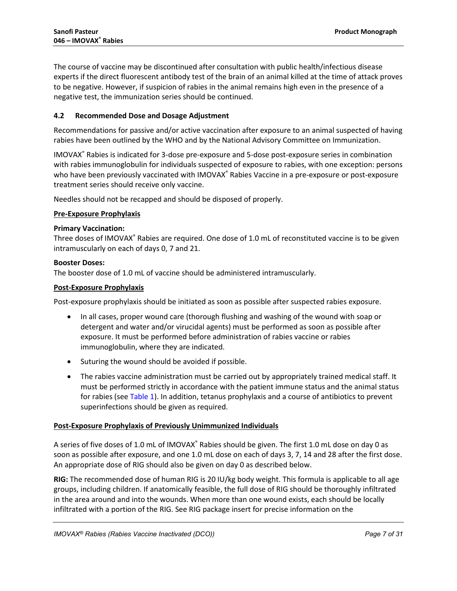The course of vaccine may be discontinued after consultation with public health/infectious disease experts if the direct fluorescent antibody test of the brain of an animal killed at the time of attack proves to be negative. However, if suspicion of rabies in the animal remains high even in the presence of a negative test, the immunization series should be continued.

## <span id="page-6-0"></span>**4.2 Recommended Dose and Dosage Adjustment**

Recommendations for passive and/or active vaccination after exposure to an animal suspected of having rabies have been outlined by the WHO and by the National Advisory Committee on Immunization.

IMOVAX® Rabies is indicated for 3-dose pre-exposure and 5-dose post-exposure series in combination with rabies immunoglobulin for individuals suspected of exposure to rabies, with one exception: persons who have been previously vaccinated with IMOVAX® Rabies Vaccine in a pre-exposure or post-exposure treatment series should receive only vaccine.

Needles should not be recapped and should be disposed of properly.

## **Pre-Exposure Prophylaxis**

## **Primary Vaccination:**

Three doses of IMOVAX® Rabies are required. One dose of 1.0 mL of reconstituted vaccine is to be given intramuscularly on each of days 0, 7 and 21.

## **Booster Doses:**

The booster dose of 1.0 mL of vaccine should be administered intramuscularly.

## **Post-Exposure Prophylaxis**

Post-exposure prophylaxis should be initiated as soon as possible after suspected rabies exposure.

- In all cases, proper wound care (thorough flushing and washing of the wound with soap or detergent and water and/or virucidal agents) must be performed as soon as possible after exposure. It must be performed before administration of rabies vaccine or rabies immunoglobulin, where they are indicated.
- Suturing the wound should be avoided if possible.
- The rabies vaccine administration must be carried out by appropriately trained medical staff. It must be performed strictly in accordance with the patient immune status and the animal status for rabies (see [Table](#page-5-0) 1). In addition, tetanus prophylaxis and a course of antibiotics to prevent superinfections should be given as required.

## **Post-Exposure Prophylaxis of Previously Unimmunized Individuals**

A series of five doses of 1.0 mL of IMOVAX® Rabies should be given. The first 1.0 mL dose on day 0 as soon as possible after exposure, and one 1.0 mL dose on each of days 3, 7, 14 and 28 after the first dose. An appropriate dose of RIG should also be given on day 0 as described below.

**RIG:** The recommended dose of human RIG is 20 IU/kg body weight. This formula is applicable to all age groups, including children. If anatomically feasible, the full dose of RIG should be thoroughly infiltrated in the area around and into the wounds. When more than one wound exists, each should be locally infiltrated with a portion of the RIG. See RIG package insert for precise information on the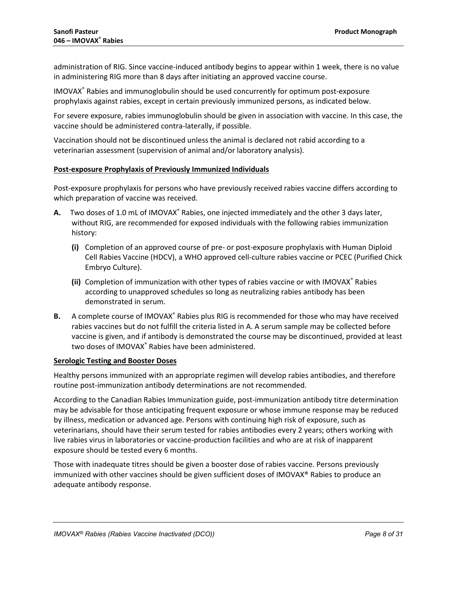administration of RIG. Since vaccine-induced antibody begins to appear within 1 week, there is no value in administering RIG more than 8 days after initiating an approved vaccine course.

IMOVAX® Rabies and immunoglobulin should be used concurrently for optimum post-exposure prophylaxis against rabies, except in certain previously immunized persons, as indicated below.

For severe exposure, rabies immunoglobulin should be given in association with vaccine. In this case, the vaccine should be administered contra-laterally, if possible.

Vaccination should not be discontinued unless the animal is declared not rabid according to a veterinarian assessment (supervision of animal and/or laboratory analysis).

## **Post-exposure Prophylaxis of Previously Immunized Individuals**

Post-exposure prophylaxis for persons who have previously received rabies vaccine differs according to which preparation of vaccine was received.

- A. Two doses of 1.0 mL of IMOVAX<sup>®</sup> Rabies, one injected immediately and the other 3 days later, without RIG, are recommended for exposed individuals with the following rabies immunization history:
	- **(i)** Completion of an approved course of pre- or post-exposure prophylaxis with Human Diploid Cell Rabies Vaccine (HDCV), a WHO approved cell-culture rabies vaccine or PCEC (Purified Chick Embryo Culture).
	- **(ii)** Completion of immunization with other types of rabies vaccine or with IMOVAX® Rabies according to unapproved schedules so long as neutralizing rabies antibody has been demonstrated in serum.
- **B.** A complete course of IMOVAX<sup>®</sup> Rabies plus RIG is recommended for those who may have received rabies vaccines but do not fulfill the criteria listed in A. A serum sample may be collected before vaccine is given, and if antibody is demonstrated the course may be discontinued, provided at least two doses of IMOVAX® Rabies have been administered.

## **Serologic Testing and Booster Doses**

Healthy persons immunized with an appropriate regimen will develop rabies antibodies, and therefore routine post-immunization antibody determinations are not recommended.

According to the Canadian Rabies Immunization guide, post-immunization antibody titre determination may be advisable for those anticipating frequent exposure or whose immune response may be reduced by illness, medication or advanced age. Persons with continuing high risk of exposure, such as veterinarians, should have their serum tested for rabies antibodies every 2 years; others working with live rabies virus in laboratories or vaccine-production facilities and who are at risk of inapparent exposure should be tested every 6 months.

Those with inadequate titres should be given a booster dose of rabies vaccine. Persons previously immunized with other vaccines should be given sufficient doses of IMOVAX® Rabies to produce an adequate antibody response.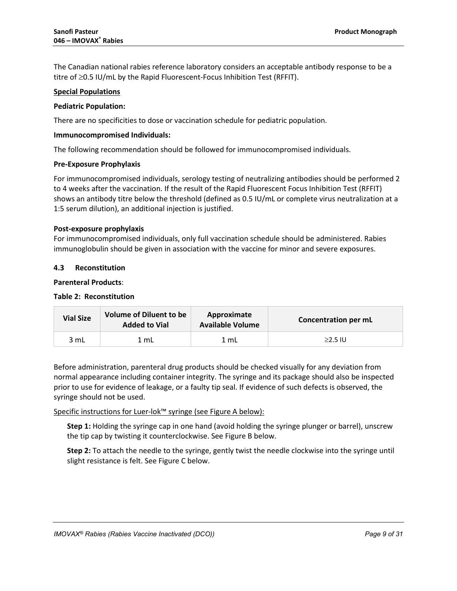The Canadian national rabies reference laboratory considers an acceptable antibody response to be a titre of ≥0.5 IU/mL by the Rapid Fluorescent-Focus Inhibition Test (RFFIT).

## **Special Populations**

## **Pediatric Population:**

There are no specificities to dose or vaccination schedule for pediatric population.

## **Immunocompromised Individuals:**

The following recommendation should be followed for immunocompromised individuals.

## **Pre-Exposure Prophylaxis**

For immunocompromised individuals, serology testing of neutralizing antibodies should be performed 2 to 4 weeks after the vaccination. If the result of the Rapid Fluorescent Focus Inhibition Test (RFFIT) shows an antibody titre below the threshold (defined as 0.5 IU/mL or complete virus neutralization at a 1:5 serum dilution), an additional injection is justified.

## **Post-exposure prophylaxis**

For immunocompromised individuals, only full vaccination schedule should be administered. Rabies immunoglobulin should be given in association with the vaccine for minor and severe exposures.

## <span id="page-8-0"></span>**4.3 Reconstitution**

## **Parenteral Products**:

## **Table 2: Reconstitution**

| <b>Vial Size</b> | <b>Volume of Diluent to be</b><br><b>Added to Vial</b> | Approximate<br><b>Available Volume</b> | Concentration per mL |  |
|------------------|--------------------------------------------------------|----------------------------------------|----------------------|--|
| 3 mL             | 1 mL                                                   | 1 mL                                   | $\geq$ 2.5 IU        |  |

Before administration, parenteral drug products should be checked visually for any deviation from normal appearance including container integrity. The syringe and its package should also be inspected prior to use for evidence of leakage, or a faulty tip seal. If evidence of such defects is observed, the syringe should not be used.

Specific instructions for Luer-lok™ syringe (see Figure A below):

**Step 1:** Holding the syringe cap in one hand (avoid holding the syringe plunger or barrel), unscrew the tip cap by twisting it counterclockwise. See Figure B below.

**Step 2:** To attach the needle to the syringe, gently twist the needle clockwise into the syringe until slight resistance is felt. See Figure C below.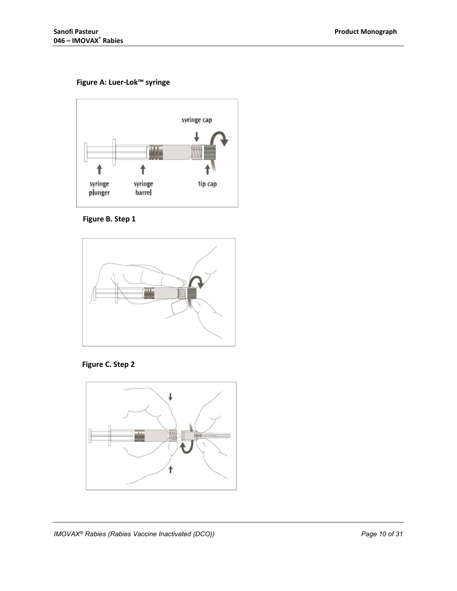## **Figure A: Luer-Lok™ syringe**



 **Figure B. Step 1**





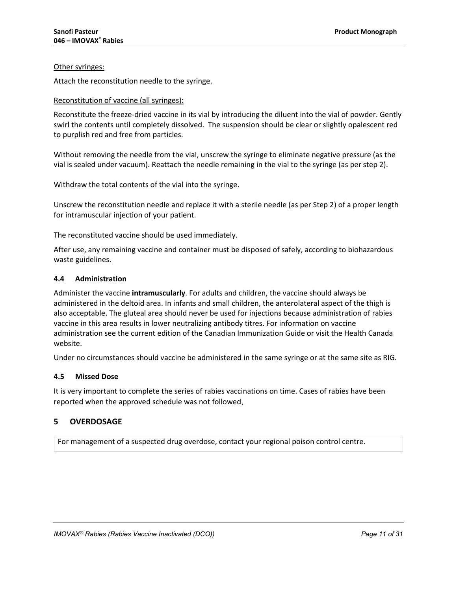## Other syringes:

Attach the reconstitution needle to the syringe.

## Reconstitution of vaccine (all syringes):

Reconstitute the freeze-dried vaccine in its vial by introducing the diluent into the vial of powder. Gently swirl the contents until completely dissolved. The suspension should be clear or slightly opalescent red to purplish red and free from particles.

Without removing the needle from the vial, unscrew the syringe to eliminate negative pressure (as the vial is sealed under vacuum). Reattach the needle remaining in the vial to the syringe (as per step 2).

Withdraw the total contents of the vial into the syringe.

Unscrew the reconstitution needle and replace it with a sterile needle (as per Step 2) of a proper length for intramuscular injection of your patient.

The reconstituted vaccine should be used immediately.

After use, any remaining vaccine and container must be disposed of safely, according to biohazardous waste guidelines.

## <span id="page-10-0"></span>**4.4 Administration**

Administer the vaccine **intramuscularly**. For adults and children, the vaccine should always be administered in the deltoid area. In infants and small children, the anterolateral aspect of the thigh is also acceptable. The gluteal area should never be used for injections because administration of rabies vaccine in this area results in lower neutralizing antibody titres. For information on vaccine administration see the current edition of the Canadian Immunization Guide or visit the Health Canada website.

Under no circumstances should vaccine be administered in the same syringe or at the same site as RIG.

## <span id="page-10-1"></span>**4.5 Missed Dose**

It is very important to complete the series of rabies vaccinations on time. Cases of rabies have been reported when the approved schedule was not followed.

## <span id="page-10-2"></span>**5 OVERDOSAGE**

For management of a suspected drug overdose, contact your regional poison control centre.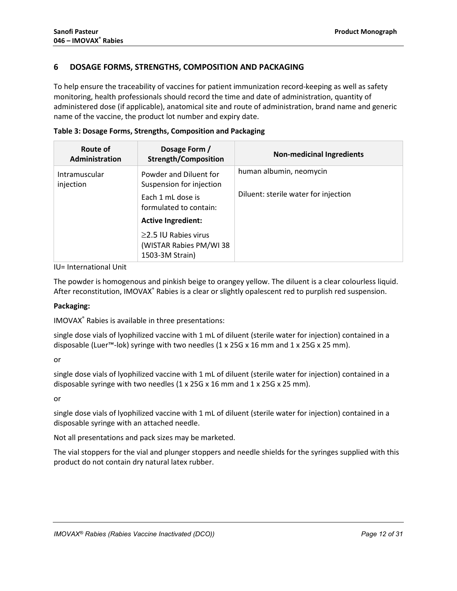## <span id="page-11-0"></span>**6 DOSAGE FORMS, STRENGTHS, COMPOSITION AND PACKAGING**

To help ensure the traceability of vaccines for patient immunization record-keeping as well as safety monitoring, health professionals should record the time and date of administration, quantity of administered dose (if applicable), anatomical site and route of administration, brand name and generic name of the vaccine, the product lot number and expiry date.

| Route of<br>Administration | Dosage Form /<br><b>Strength/Composition</b>                             | <b>Non-medicinal Ingredients</b>     |
|----------------------------|--------------------------------------------------------------------------|--------------------------------------|
| Intramuscular<br>injection | Powder and Diluent for<br>Suspension for injection                       | human albumin, neomycin              |
|                            | Each 1 mL dose is<br>formulated to contain:                              | Diluent: sterile water for injection |
|                            | <b>Active Ingredient:</b>                                                |                                      |
|                            | $\geq$ 2.5 IU Rabies virus<br>(WISTAR Rabies PM/WI 38<br>1503-3M Strain) |                                      |

IU= International Unit

The powder is homogenous and pinkish beige to orangey yellow. The diluent is a clear colourless liquid. After reconstitution, IMOVAX® Rabies is a clear or slightly opalescent red to purplish red suspension.

## **Packaging:**

IMOVAX® Rabies is available in three presentations:

single dose vials of lyophilized vaccine with 1 mL of diluent (sterile water for injection) contained in a disposable (Luer™-lok) syringe with two needles  $(1 \times 25G \times 16 \text{ mm})$  and  $1 \times 25G \times 25 \text{ mm}$ ).

or

single dose vials of lyophilized vaccine with 1 mL of diluent (sterile water for injection) contained in a disposable syringe with two needles (1 x 25G x 16 mm and 1 x 25G x 25 mm).

or

single dose vials of lyophilized vaccine with 1 mL of diluent (sterile water for injection) contained in a disposable syringe with an attached needle.

Not all presentations and pack sizes may be marketed.

The vial stoppers for the vial and plunger stoppers and needle shields for the syringes supplied with this product do not contain dry natural latex rubber.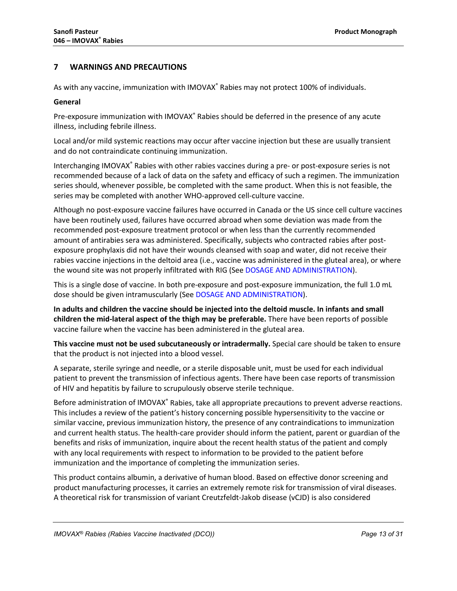## <span id="page-12-0"></span>**7 WARNINGS AND PRECAUTIONS**

As with any vaccine, immunization with IMOVAX® Rabies may not protect 100% of individuals.

## **General**

Pre-exposure immunization with IMOVAX® Rabies should be deferred in the presence of any acute illness, including febrile illness.

Local and/or mild systemic reactions may occur after vaccine injection but these are usually transient and do not contraindicate continuing immunization.

Interchanging IMOVAX® Rabies with other rabies vaccines during a pre- or post-exposure series is not recommended because of a lack of data on the safety and efficacy of such a regimen. The immunization series should, whenever possible, be completed with the same product. When this is not feasible, the series may be completed with another WHO-approved cell-culture vaccine.

Although no post-exposure vaccine failures have occurred in Canada or the US since cell culture vaccines have been routinely used, failures have occurred abroad when some deviation was made from the recommended post-exposure treatment protocol or when less than the currently recommended amount of antirabies sera was administered. Specifically, subjects who contracted rabies after postexposure prophylaxis did not have their wounds cleansed with soap and water, did not receive their rabies vaccine injections in the deltoid area (i.e., vaccine was administered in the gluteal area), or where the wound site was not properly infiltrated with RIG (See [DOSAGE AND ADMINISTRATION](#page-3-4)).

This is a single dose of vaccine. In both pre-exposure and post-exposure immunization, the full 1.0 mL dose should be given intramuscularly (See [DOSAGE AND ADMINISTRATION](#page-3-4)).

**In adults and children the vaccine should be injected into the deltoid muscle. In infants and small children the mid-lateral aspect of the thigh may be preferable.** There have been reports of possible vaccine failure when the vaccine has been administered in the gluteal area.

**This vaccine must not be used subcutaneously or intradermally.** Special care should be taken to ensure that the product is not injected into a blood vessel.

A separate, sterile syringe and needle, or a sterile disposable unit, must be used for each individual patient to prevent the transmission of infectious agents. There have been case reports of transmission of HIV and hepatitis by failure to scrupulously observe sterile technique.

Before administration of IMOVAX® Rabies, take all appropriate precautions to prevent adverse reactions. This includes a review of the patient's history concerning possible hypersensitivity to the vaccine or similar vaccine, previous immunization history, the presence of any contraindications to immunization and current health status. The health-care provider should inform the patient, parent or guardian of the benefits and risks of immunization, inquire about the recent health status of the patient and comply with any local requirements with respect to information to be provided to the patient before immunization and the importance of completing the immunization series.

This product contains albumin, a derivative of human blood. Based on effective donor screening and product manufacturing processes, it carries an extremely remote risk for transmission of viral diseases. A theoretical risk for transmission of variant Creutzfeldt-Jakob disease (vCJD) is also considered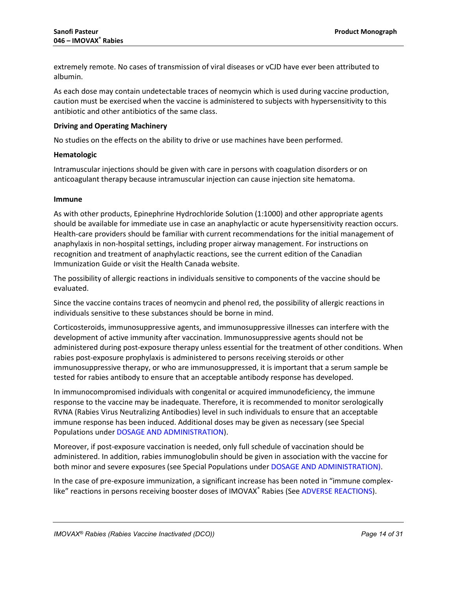extremely remote. No cases of transmission of viral diseases or vCJD have ever been attributed to albumin.

As each dose may contain undetectable traces of neomycin which is used during vaccine production, caution must be exercised when the vaccine is administered to subjects with hypersensitivity to this antibiotic and other antibiotics of the same class.

## **Driving and Operating Machinery**

No studies on the effects on the ability to drive or use machines have been performed.

## **Hematologic**

Intramuscular injections should be given with care in persons with coagulation disorders or on anticoagulant therapy because intramuscular injection can cause injection site hematoma.

## **Immune**

As with other products, Epinephrine Hydrochloride Solution (1:1000) and other appropriate agents should be available for immediate use in case an anaphylactic or acute hypersensitivity reaction occurs. Health-care providers should be familiar with current recommendations for the initial management of anaphylaxis in non-hospital settings, including proper airway management. For instructions on recognition and treatment of anaphylactic reactions, see the current edition of the Canadian Immunization Guide or visit the Health Canada website.

The possibility of allergic reactions in individuals sensitive to components of the vaccine should be evaluated.

Since the vaccine contains traces of neomycin and phenol red, the possibility of allergic reactions in individuals sensitive to these substances should be borne in mind.

Corticosteroids, immunosuppressive agents, and immunosuppressive illnesses can interfere with the development of active immunity after vaccination. Immunosuppressive agents should not be administered during post-exposure therapy unless essential for the treatment of other conditions. When rabies post-exposure prophylaxis is administered to persons receiving steroids or other immunosuppressive therapy, or who are immunosuppressed, it is important that a serum sample be tested for rabies antibody to ensure that an acceptable antibody response has developed.

In immunocompromised individuals with congenital or acquired immunodeficiency, the immune response to the vaccine may be inadequate. Therefore, it is recommended to monitor serologically RVNA (Rabies Virus Neutralizing Antibodies) level in such individuals to ensure that an acceptable immune response has been induced. Additional doses may be given as necessary (see Special Populations unde[r DOSAGE AND ADMINISTRATION](#page-3-4)).

Moreover, if post-exposure vaccination is needed, only full schedule of vaccination should be administered. In addition, rabies immunoglobulin should be given in association with the vaccine for both minor and severe exposures (see Special Populations under [DOSAGE AND ADMINISTRATION](#page-3-4)).

In the case of pre-exposure immunization, a significant increase has been noted in "immune complexlike" reactions in persons receiving booster doses of IMOVAX® Rabies (See ADVERSE [REACTIONS](#page-15-0)).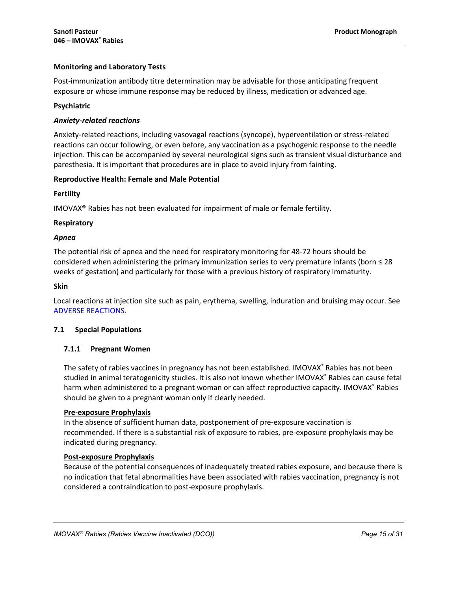## **Monitoring and Laboratory Tests**

Post-immunization antibody titre determination may be advisable for those anticipating frequent exposure or whose immune response may be reduced by illness, medication or advanced age.

## **Psychiatric**

## *Anxiety-related reactions*

Anxiety-related reactions, including vasovagal reactions (syncope), hyperventilation or stress-related reactions can occur following, or even before, any vaccination as a psychogenic response to the needle injection. This can be accompanied by several neurological signs such as transient visual disturbance and paresthesia. It is important that procedures are in place to avoid injury from fainting.

## **Reproductive Health: Female and Male Potential**

## **Fertility**

IMOVAX® Rabies has not been evaluated for impairment of male or female fertility.

## **Respiratory**

## *Apnea*

The potential risk of apnea and the need for respiratory monitoring for 48-72 hours should be considered when administering the primary immunization series to very premature infants (born ≤ 28 weeks of gestation) and particularly for those with a previous history of respiratory immaturity.

## **Skin**

Local reactions at injection site such as pain, erythema, swelling, induration and bruising may occur. See ADVERSE [REACTIONS](#page-15-0).

## <span id="page-14-0"></span>**7.1 Special Populations**

## **7.1.1 Pregnant Women**

The safety of rabies vaccines in pregnancy has not been established. IMOVAX® Rabies has not been studied in animal teratogenicity studies. It is also not known whether IMOVAX® Rabies can cause fetal harm when administered to a pregnant woman or can affect reproductive capacity. IMOVAX® Rabies should be given to a pregnant woman only if clearly needed.

## **Pre-exposure Prophylaxis**

In the absence of sufficient human data, postponement of pre-exposure vaccination is recommended. If there is a substantial risk of exposure to rabies, pre-exposure prophylaxis may be indicated during pregnancy.

## **Post-exposure Prophylaxis**

Because of the potential consequences of inadequately treated rabies exposure, and because there is no indication that fetal abnormalities have been associated with rabies vaccination, pregnancy is not considered a contraindication to post-exposure prophylaxis.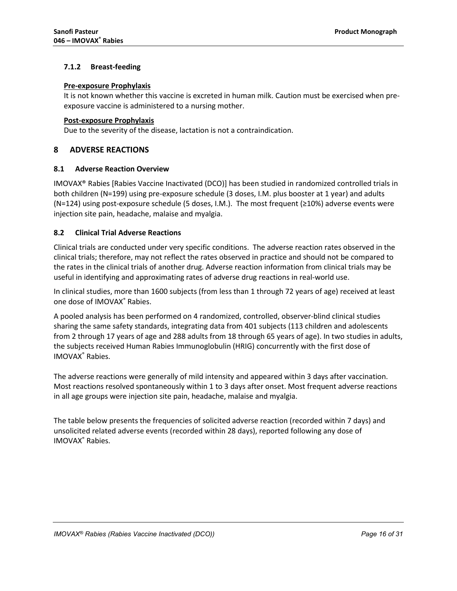## **7.1.2 Breast-feeding**

## **Pre-exposure Prophylaxis**

It is not known whether this vaccine is excreted in human milk. Caution must be exercised when preexposure vaccine is administered to a nursing mother.

## **Post-exposure Prophylaxis**

Due to the severity of the disease, lactation is not a contraindication.

## <span id="page-15-0"></span>**8 ADVERSE REACTIONS**

## <span id="page-15-1"></span>**8.1 Adverse Reaction Overview**

IMOVAX® Rabies [Rabies Vaccine Inactivated (DCO)] has been studied in randomized controlled trials in both children (N=199) using pre-exposure schedule (3 doses, I.M. plus booster at 1 year) and adults (N=124) using post-exposure schedule (5 doses, I.M.). The most frequent (≥10%) adverse events were injection site pain, headache, malaise and myalgia.

## <span id="page-15-2"></span>**8.2 Clinical Trial Adverse Reactions**

Clinical trials are conducted under very specific conditions. The adverse reaction rates observed in the clinical trials; therefore, may not reflect the rates observed in practice and should not be compared to the rates in the clinical trials of another drug. Adverse reaction information from clinical trials may be useful in identifying and approximating rates of adverse drug reactions in real-world use.

In clinical studies, more than 1600 subjects (from less than 1 through 72 years of age) received at least one dose of IMOVAX® Rabies.

A pooled analysis has been performed on 4 randomized, controlled, observer-blind clinical studies sharing the same safety standards, integrating data from 401 subjects (113 children and adolescents from 2 through 17 years of age and 288 adults from 18 through 65 years of age). In two studies in adults, the subjects received Human Rabies Immunoglobulin (HRIG) concurrently with the first dose of IMOVAX® Rabies.

The adverse reactions were generally of mild intensity and appeared within 3 days after vaccination. Most reactions resolved spontaneously within 1 to 3 days after onset. Most frequent adverse reactions in all age groups were injection site pain, headache, malaise and myalgia.

The table below presents the frequencies of solicited adverse reaction (recorded within 7 days) and unsolicited related adverse events (recorded within 28 days), reported following any dose of IMOVAX® Rabies.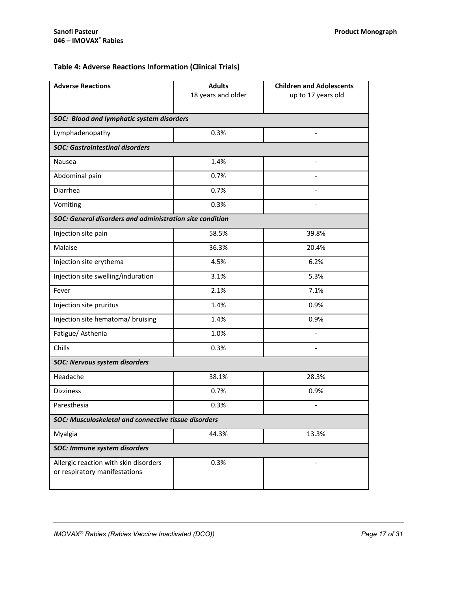## **Table 4: Adverse Reactions Information (Clinical Trials)**

| <b>Adverse Reactions</b>                                               | <b>Adults</b><br>18 years and older | <b>Children and Adolescents</b><br>up to 17 years old |  |  |  |  |
|------------------------------------------------------------------------|-------------------------------------|-------------------------------------------------------|--|--|--|--|
|                                                                        |                                     |                                                       |  |  |  |  |
| SOC: Blood and lymphatic system disorders                              |                                     |                                                       |  |  |  |  |
| Lymphadenopathy                                                        | 0.3%                                |                                                       |  |  |  |  |
| <b>SOC: Gastrointestinal disorders</b>                                 |                                     |                                                       |  |  |  |  |
| Nausea                                                                 | 1.4%                                | $\overline{\phantom{0}}$                              |  |  |  |  |
| Abdominal pain                                                         | 0.7%                                |                                                       |  |  |  |  |
| Diarrhea                                                               | 0.7%                                |                                                       |  |  |  |  |
| Vomiting                                                               | 0.3%                                |                                                       |  |  |  |  |
| SOC: General disorders and administration site condition               |                                     |                                                       |  |  |  |  |
| Injection site pain                                                    | 58.5%                               | 39.8%                                                 |  |  |  |  |
| Malaise                                                                | 36.3%                               | 20.4%                                                 |  |  |  |  |
| Injection site erythema                                                | 4.5%                                | 6.2%                                                  |  |  |  |  |
| Injection site swelling/induration                                     | 3.1%                                | 5.3%                                                  |  |  |  |  |
| Fever                                                                  | 2.1%                                | 7.1%                                                  |  |  |  |  |
| Injection site pruritus                                                | 1.4%                                | 0.9%                                                  |  |  |  |  |
| Injection site hematoma/ bruising                                      | 1.4%                                | 0.9%                                                  |  |  |  |  |
| Fatigue/Asthenia                                                       | 1.0%                                |                                                       |  |  |  |  |
| Chills                                                                 | 0.3%                                | $\overline{\phantom{a}}$                              |  |  |  |  |
| <b>SOC: Nervous system disorders</b>                                   |                                     |                                                       |  |  |  |  |
| Headache                                                               | 38.1%                               | 28.3%                                                 |  |  |  |  |
| <b>Dizziness</b>                                                       | 0.7%                                | 0.9%                                                  |  |  |  |  |
| Paresthesia                                                            | 0.3%                                |                                                       |  |  |  |  |
| SOC: Musculoskeletal and connective tissue disorders                   |                                     |                                                       |  |  |  |  |
| Myalgia                                                                | 44.3%                               | 13.3%                                                 |  |  |  |  |
| SOC: Immune system disorders                                           |                                     |                                                       |  |  |  |  |
| Allergic reaction with skin disorders<br>or respiratory manifestations | 0.3%                                |                                                       |  |  |  |  |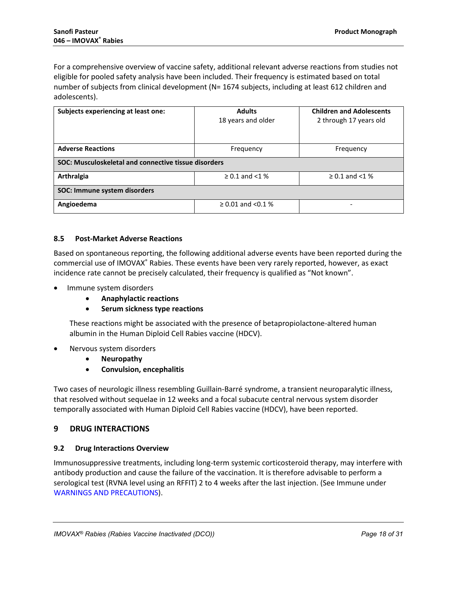For a comprehensive overview of vaccine safety, additional relevant adverse reactions from studies not eligible for pooled safety analysis have been included. Their frequency is estimated based on total number of subjects from clinical development (N= 1674 subjects, including at least 612 children and adolescents).

| Subjects experiencing at least one:                  | <b>Adults</b><br>18 years and older | <b>Children and Adolescents</b><br>2 through 17 years old |  |  |  |
|------------------------------------------------------|-------------------------------------|-----------------------------------------------------------|--|--|--|
|                                                      |                                     |                                                           |  |  |  |
| <b>Adverse Reactions</b>                             | Frequency                           | Frequency                                                 |  |  |  |
| SOC: Musculoskeletal and connective tissue disorders |                                     |                                                           |  |  |  |
| Arthralgia                                           | $\geq$ 0.1 and <1 %                 | $\geq$ 0.1 and <1 %                                       |  |  |  |
| SOC: Immune system disorders                         |                                     |                                                           |  |  |  |
| Angioedema                                           | $\geq$ 0.01 and <0.1 %              | -                                                         |  |  |  |

## <span id="page-17-0"></span>**8.5 Post-Market Adverse Reactions**

Based on spontaneous reporting, the following additional adverse events have been reported during the commercial use of IMOVAX® Rabies. These events have been very rarely reported, however, as exact incidence rate cannot be precisely calculated, their frequency is qualified as "Not known".

- Immune system disorders
	- **Anaphylactic reactions**
	- **Serum sickness type reactions**

These reactions might be associated with the presence of betapropiolactone-altered human albumin in the Human Diploid Cell Rabies vaccine (HDCV).

- Nervous system disorders
	- **Neuropathy**
	- **Convulsion, encephalitis**

Two cases of neurologic illness resembling Guillain-Barré syndrome, a transient neuroparalytic illness, that resolved without sequelae in 12 weeks and a focal subacute central nervous system disorder temporally associated with Human Diploid Cell Rabies vaccine (HDCV), have been reported.

## <span id="page-17-1"></span>**9 DRUG INTERACTIONS**

## <span id="page-17-2"></span>**9.2 Drug Interactions Overview**

Immunosuppressive treatments, including long-term systemic corticosteroid therapy, may interfere with antibody production and cause the failure of the vaccination. It is therefore advisable to perform a serological test (RVNA level using an RFFIT) 2 to 4 weeks after the last injection. (See Immune under WARNINGS A[ND PRECAUTIONS](#page-12-0)).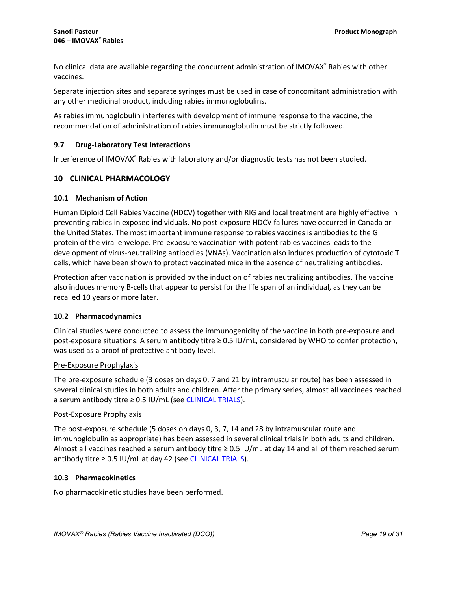No clinical data are available regarding the concurrent administration of IMOVAX® Rabies with other vaccines.

Separate injection sites and separate syringes must be used in case of concomitant administration with any other medicinal product, including rabies immunoglobulins.

As rabies immunoglobulin interferes with development of immune response to the vaccine, the recommendation of administration of rabies immunoglobulin must be strictly followed.

## <span id="page-18-0"></span>**9.7 Drug-Laboratory Test Interactions**

Interference of IMOVAX® Rabies with laboratory and/or diagnostic tests has not been studied.

## <span id="page-18-1"></span>**10 CLINICAL PHARMACOLOGY**

## <span id="page-18-2"></span>**10.1 Mechanism of Action**

Human Diploid Cell Rabies Vaccine (HDCV) together with RIG and local treatment are highly effective in preventing rabies in exposed individuals. No post-exposure HDCV failures have occurred in Canada or the United States. The most important immune response to rabies vaccines is antibodies to the G protein of the viral envelope. Pre-exposure vaccination with potent rabies vaccines leads to the development of virus-neutralizing antibodies (VNAs). Vaccination also induces production of cytotoxic T cells, which have been shown to protect vaccinated mice in the absence of neutralizing antibodies.

Protection after vaccination is provided by the induction of rabies neutralizing antibodies. The vaccine also induces memory B-cells that appear to persist for the life span of an individual, as they can be recalled 10 years or more later.

## <span id="page-18-3"></span>**10.2 Pharmacodynamics**

Clinical studies were conducted to assess the immunogenicity of the vaccine in both pre-exposure and post-exposure situations. A serum antibody titre ≥ 0.5 IU/mL, considered by WHO to confer protection, was used as a proof of protective antibody level.

## Pre-Exposure Prophylaxis

The pre-exposure schedule (3 doses on days 0, 7 and 21 by intramuscular route) has been assessed in several clinical studies in both adults and children. After the primary series, almost all vaccinees reached a serum antibody titre ≥ 0.5 IU/mL (se[e CLINICAL](#page-21-0) TRIALS).

## Post-Exposure Prophylaxis

The post-exposure schedule (5 doses on days 0, 3, 7, 14 and 28 by intramuscular route and immunoglobulin as appropriate) has been assessed in several clinical trials in both adults and children. Almost all vaccines reached a serum antibody titre  $\geq$  0.5 IU/mL at day 14 and all of them reached serum antibody titre ≥ 0.5 IU/mL at day 42 (see [CLINICAL](#page-21-0) TRIALS).

## <span id="page-18-4"></span>**10.3 Pharmacokinetics**

No pharmacokinetic studies have been performed.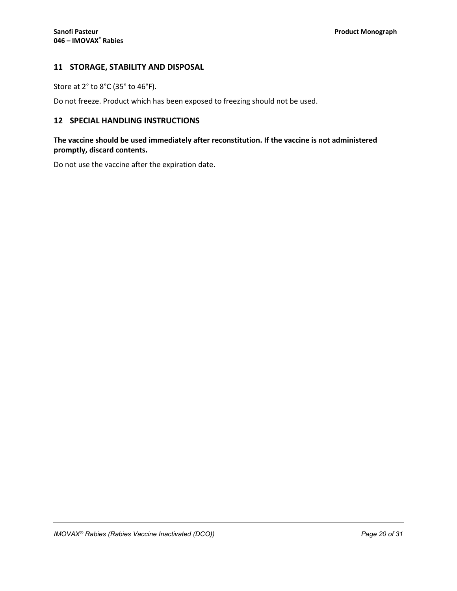## <span id="page-19-0"></span>**11 STORAGE, STABILITY AND DISPOSAL**

Store at 2° to 8°C (35° to 46°F).

Do not freeze. Product which has been exposed to freezing should not be used.

## <span id="page-19-1"></span>**12 SPECIAL HANDLING INSTRUCTIONS**

## **The vaccine should be used immediately after reconstitution. If the vaccine is not administered promptly, discard contents.**

Do not use the vaccine after the expiration date.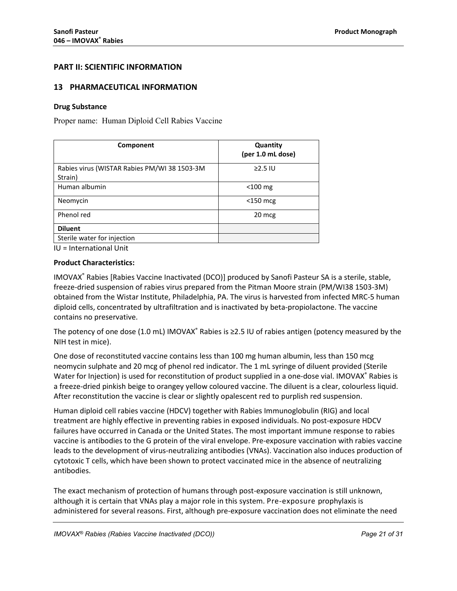## **PART II: SCIENTIFIC INFORMATION**

## <span id="page-20-0"></span>**13 PHARMACEUTICAL INFORMATION**

#### **Drug Substance**

Proper name: Human Diploid Cell Rabies Vaccine

| Component                                               | Quantity<br>(per 1.0 mL dose) |
|---------------------------------------------------------|-------------------------------|
| Rabies virus (WISTAR Rabies PM/WI 38 1503-3M<br>Strain) | $\geq$ 2.5 IU                 |
| Human albumin                                           | $<$ 100 mg                    |
| Neomycin                                                | $<$ 150 mcg                   |
| Phenol red                                              | 20 mcg                        |
| <b>Diluent</b>                                          |                               |
| Sterile water for injection                             |                               |

IU = International Unit

## **Product Characteristics:**

IMOVAX® Rabies [Rabies Vaccine Inactivated (DCO)] produced by Sanofi Pasteur SA is a sterile, stable, freeze-dried suspension of rabies virus prepared from the Pitman Moore strain (PM/WI38 1503-3M) obtained from the Wistar Institute, Philadelphia, PA. The virus is harvested from infected MRC-5 human diploid cells, concentrated by ultrafiltration and is inactivated by beta-propiolactone. The vaccine contains no preservative.

The potency of one dose (1.0 mL) IMOVAX® Rabies is  $\geq$ 2.5 IU of rabies antigen (potency measured by the NIH test in mice).

One dose of reconstituted vaccine contains less than 100 mg human albumin, less than 150 mcg neomycin sulphate and 20 mcg of phenol red indicator. The 1 mL syringe of diluent provided (Sterile Water for Injection) is used for reconstitution of product supplied in a one-dose vial. IMOVAX® Rabies is a freeze-dried pinkish beige to orangey yellow coloured vaccine. The diluent is a clear, colourless liquid. After reconstitution the vaccine is clear or slightly opalescent red to purplish red suspension.

Human diploid cell rabies vaccine (HDCV) together with Rabies Immunoglobulin (RIG) and local treatment are highly effective in preventing rabies in exposed individuals. No post-exposure HDCV failures have occurred in Canada or the United States. The most important immune response to rabies vaccine is antibodies to the G protein of the viral envelope. Pre-exposure vaccination with rabies vaccine leads to the development of virus-neutralizing antibodies (VNAs). Vaccination also induces production of cytotoxic T cells, which have been shown to protect vaccinated mice in the absence of neutralizing antibodies.

The exact mechanism of protection of humans through post-exposure vaccination is still unknown, although it is certain that VNAs play a major role in this system. Pre-exposure prophylaxis is administered for several reasons. First, although pre-exposure vaccination does not eliminate the need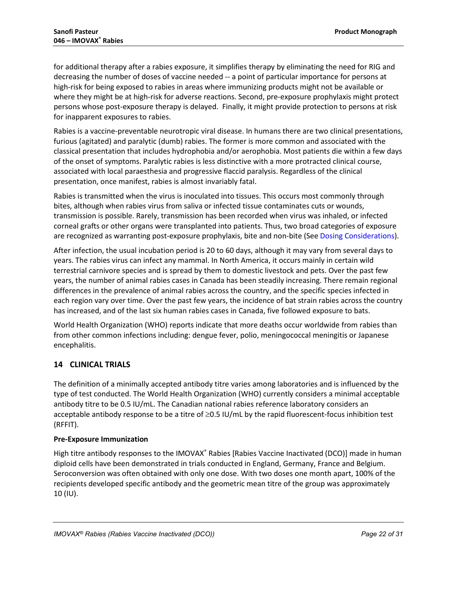for additional therapy after a rabies exposure, it simplifies therapy by eliminating the need for RIG and decreasing the number of doses of vaccine needed -- a point of particular importance for persons at high-risk for being exposed to rabies in areas where immunizing products might not be available or where they might be at high-risk for adverse reactions. Second, pre-exposure prophylaxis might protect persons whose post-exposure therapy is delayed. Finally, it might provide protection to persons at risk for inapparent exposures to rabies.

Rabies is a vaccine-preventable neurotropic viral disease. In humans there are two clinical presentations, furious (agitated) and paralytic (dumb) rabies. The former is more common and associated with the classical presentation that includes hydrophobia and/or aerophobia. Most patients die within a few days of the onset of symptoms. Paralytic rabies is less distinctive with a more protracted clinical course, associated with local paraesthesia and progressive flaccid paralysis. Regardless of the clinical presentation, once manifest, rabies is almost invariably fatal.

Rabies is transmitted when the virus is inoculated into tissues. This occurs most commonly through bites, although when rabies virus from saliva or infected tissue contaminates cuts or wounds, transmission is possible. Rarely, transmission has been recorded when virus was inhaled, or infected corneal grafts or other organs were transplanted into patients. Thus, two broad categories of exposure are recognized as warranting post-exposure prophylaxis, bite and non-bite (See Dosing [Considerations](#page-3-5)).

After infection, the usual incubation period is 20 to 60 days, although it may vary from several days to years. The rabies virus can infect any mammal. In North America, it occurs mainly in certain wild terrestrial carnivore species and is spread by them to domestic livestock and pets. Over the past few years, the number of animal rabies cases in Canada has been steadily increasing. There remain regional differences in the prevalence of animal rabies across the country, and the specific species infected in each region vary over time. Over the past few years, the incidence of bat strain rabies across the country has increased, and of the last six human rabies cases in Canada, five followed exposure to bats.

World Health Organization (WHO) reports indicate that more deaths occur worldwide from rabies than from other common infections including: dengue fever, polio, meningococcal meningitis or Japanese encephalitis.

## <span id="page-21-0"></span>**14 CLINICAL TRIALS**

The definition of a minimally accepted antibody titre varies among laboratories and is influenced by the type of test conducted. The World Health Organization (WHO) currently considers a minimal acceptable antibody titre to be 0.5 IU/mL. The Canadian national rabies reference laboratory considers an acceptable antibody response to be a titre of ≥0.5 IU/mL by the rapid fluorescent-focus inhibition test (RFFIT).

## **Pre-Exposure Immunization**

High titre antibody responses to the IMOVAX® Rabies [Rabies Vaccine Inactivated (DCO)] made in human diploid cells have been demonstrated in trials conducted in England, Germany, France and Belgium. Seroconversion was often obtained with only one dose. With two doses one month apart, 100% of the recipients developed specific antibody and the geometric mean titre of the group was approximately 10 (IU).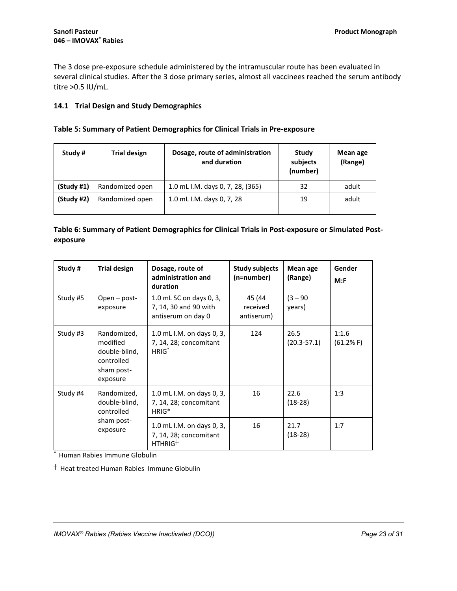The 3 dose pre-exposure schedule administered by the intramuscular route has been evaluated in several clinical studies. After the 3 dose primary series, almost all vaccinees reached the serum antibody titre >0.5 IU/mL.

## <span id="page-22-0"></span>**14.1 Trial Design and Study Demographics**

## **Table 5: Summary of Patient Demographics for Clinical Trials in Pre-exposure**

| Study #    | <b>Trial design</b> | Dosage, route of administration<br>and duration | Study<br>subjects<br>(number) | Mean age<br>(Range) |
|------------|---------------------|-------------------------------------------------|-------------------------------|---------------------|
| (Study #1) | Randomized open     | 1.0 mL I.M. days 0, 7, 28, (365)                | 32                            | adult               |
| (Study #2) | Randomized open     | 1.0 mL I.M. days 0, 7, 28                       | 19                            | adult               |

## **Table 6: Summary of Patient Demographics for Clinical Trials in Post-exposure or Simulated Postexposure**

| Study #  | <b>Trial design</b>                                                              | Dosage, route of<br>administration and<br>duration                         | <b>Study subjects</b><br>(n=number) | Mean age<br>(Range)     | Gender<br>M: F     |
|----------|----------------------------------------------------------------------------------|----------------------------------------------------------------------------|-------------------------------------|-------------------------|--------------------|
| Study #5 | $Open - post-$<br>exposure                                                       | 1.0 mL SC on days 0, 3,<br>7, 14, 30 and 90 with<br>antiserum on day 0     | 45 (44<br>received<br>antiserum)    | $(3 - 90)$<br>years)    |                    |
| Study #3 | Randomized,<br>modified<br>double-blind,<br>controlled<br>sham post-<br>exposure | 1.0 mL I.M. on days 0, 3,<br>7, 14, 28; concomitant<br>$HRIG^*$            | 124                                 | 26.5<br>$(20.3 - 57.1)$ | 1:1.6<br>(61.2% F) |
| Study #4 | Randomized,<br>double-blind,<br>controlled<br>sham post-<br>exposure             | 1.0 mL I.M. on days 0, 3,<br>7, 14, 28; concomitant<br>HRIG <sup>*</sup>   | 16                                  | 22.6<br>$(18-28)$       | 1:3                |
|          |                                                                                  | 1.0 mL I.M. on days 0, 3,<br>7, 14, 28; concomitant<br>HTHRIG <sup>+</sup> | 16                                  | 21.7<br>$(18-28)$       | 1:7                |

\* Human Rabies Immune Globulin

┼ Heat treated Human Rabies Immune Globulin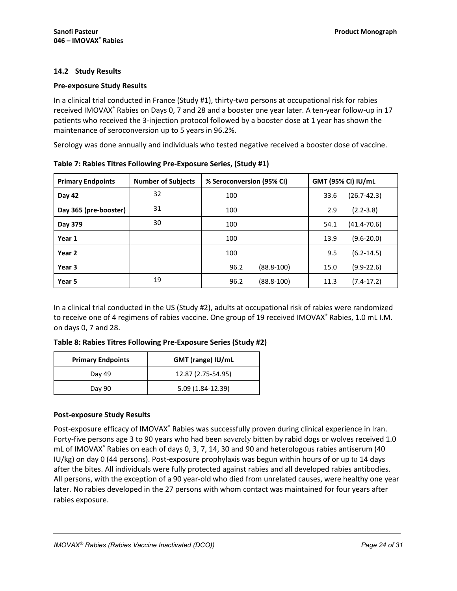## <span id="page-23-0"></span>**14.2 Study Results**

## **Pre-exposure Study Results**

In a clinical trial conducted in France (Study #1), thirty-two persons at occupational risk for rabies received IMOVAX® Rabies on Days 0, 7 and 28 and a booster one year later. A ten-year follow-up in 17 patients who received the 3-injection protocol followed by a booster dose at 1 year has shown the maintenance of seroconversion up to 5 years in 96.2%.

Serology was done annually and individuals who tested negative received a booster dose of vaccine.

| <b>Primary Endpoints</b> | <b>Number of Subjects</b> | % Seroconversion (95% CI) | GMT (95% CI) IU/mL      |  |  |
|--------------------------|---------------------------|---------------------------|-------------------------|--|--|
| Day 42                   | 32                        | 100                       | $(26.7 - 42.3)$<br>33.6 |  |  |
| Day 365 (pre-booster)    | 31                        | 100                       | $(2.2 - 3.8)$<br>2.9    |  |  |
| Day 379                  | 30                        | 100                       | $(41.4 - 70.6)$<br>54.1 |  |  |
| Year 1                   |                           | 100                       | $(9.6 - 20.0)$<br>13.9  |  |  |
| Year 2                   |                           | 100                       | 9.5<br>$(6.2 - 14.5)$   |  |  |
| Year 3                   |                           | 96.2<br>$(88.8 - 100)$    | $(9.9 - 22.6)$<br>15.0  |  |  |
| Year 5                   | 19                        | 96.2<br>$(88.8 - 100)$    | $(7.4-17.2)$<br>11.3    |  |  |

**Table 7: Rabies Titres Following Pre-Exposure Series, (Study #1)** 

In a clinical trial conducted in the US (Study #2), adults at occupational risk of rabies were randomized to receive one of 4 regimens of rabies vaccine. One group of 19 received IMOVAX® Rabies, 1.0 mL I.M. on days 0, 7 and 28.

|  | Table 8: Rabies Titres Following Pre-Exposure Series (Study #2) |  |  |  |  |
|--|-----------------------------------------------------------------|--|--|--|--|
|--|-----------------------------------------------------------------|--|--|--|--|

| <b>Primary Endpoints</b> | GMT (range) IU/mL  |  |  |  |
|--------------------------|--------------------|--|--|--|
| Day 49                   | 12.87 (2.75-54.95) |  |  |  |
| Day 90                   | 5.09 (1.84-12.39)  |  |  |  |

## **Post-exposure Study Results**

Post-exposure efficacy of IMOVAX® Rabies was successfully proven during clinical experience in Iran. Forty-five persons age 3 to 90 years who had been severely bitten by rabid dogs or wolves received 1.0 mL of IMOVAX® Rabies on each of days 0, 3, 7, 14, 30 and 90 and heterologous rabies antiserum (40 IU/kg) on day 0 (44 persons). Post-exposure prophylaxis was begun within hours of or up to 14 days after the bites. All individuals were fully protected against rabies and all developed rabies antibodies. All persons, with the exception of a 90 year-old who died from unrelated causes, were healthy one year later. No rabies developed in the 27 persons with whom contact was maintained for four years after rabies exposure.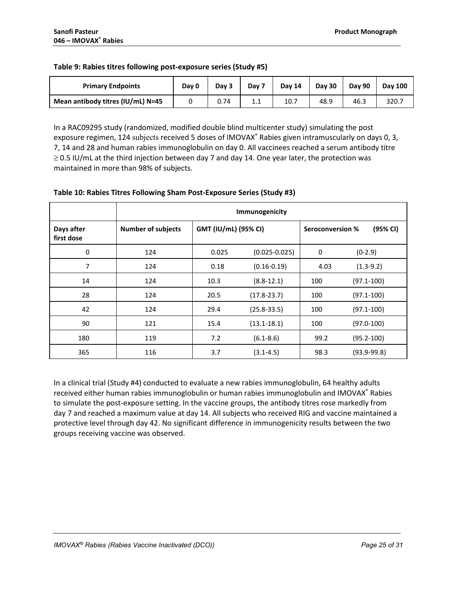| <b>Primary Endpoints</b>          | Day 0 | Day 3 | Day 7   | <b>Day 14</b> | Day 30 | Day 90 | <b>Dav 100</b> |
|-----------------------------------|-------|-------|---------|---------------|--------|--------|----------------|
| Mean antibody titres (IU/mL) N=45 |       | 0.74  | $1.1\,$ | 10.7          | 48.9   | 46.3   | 320.7          |

## **Table 9: Rabies titres following post-exposure series (Study #5)**

In a RAC09295 study (randomized, modified double blind multicenter study) simulating the post exposure regimen, 124 subjects received 5 doses of IMOVAX® Rabies given intramuscularly on days 0, 3, 7, 14 and 28 and human rabies immunoglobulin on day 0. All vaccinees reached a serum antibody titre  $\geq$  0.5 IU/mL at the third injection between day 7 and day 14. One year later, the protection was maintained in more than 98% of subjects.

|                          | Immunogenicity            |                      |                   |                         |                 |  |  |
|--------------------------|---------------------------|----------------------|-------------------|-------------------------|-----------------|--|--|
| Days after<br>first dose | <b>Number of subjects</b> | GMT (IU/mL) (95% CI) |                   | <b>Seroconversion %</b> | (95% CI)        |  |  |
| 0                        | 124                       | 0.025                | $(0.025 - 0.025)$ | 0                       | $(0-2.9)$       |  |  |
| $\overline{7}$           | 124                       | 0.18                 | $(0.16 - 0.19)$   | 4.03                    | $(1.3-9.2)$     |  |  |
| 14                       | 124                       | 10.3                 | $(8.8-12.1)$      | 100                     | $(97.1 - 100)$  |  |  |
| 28                       | 124                       | 20.5                 | $(17.8 - 23.7)$   | 100                     | $(97.1 - 100)$  |  |  |
| 42                       | 124                       | 29.4                 | $(25.8 - 33.5)$   | 100                     | $(97.1 - 100)$  |  |  |
| 90                       | 121                       | 15.4                 | $(13.1 - 18.1)$   | 100                     | $(97.0 - 100)$  |  |  |
| 180                      | 119                       | 7.2                  | $(6.1 - 8.6)$     | 99.2                    | $(95.2 - 100)$  |  |  |
| 365                      | 116                       | 3.7                  | $(3.1 - 4.5)$     | 98.3                    | $(93.9 - 99.8)$ |  |  |

## **Table 10: Rabies Titres Following Sham Post-Exposure Series (Study #3)**

In a clinical trial (Study #4) conducted to evaluate a new rabies immunoglobulin, 64 healthy adults received either human rabies immunoglobulin or human rabies immunoglobulin and IMOVAX® Rabies to simulate the post-exposure setting. In the vaccine groups, the antibody titres rose markedly from day 7 and reached a maximum value at day 14. All subjects who received RIG and vaccine maintained a protective level through day 42. No significant difference in immunogenicity results between the two groups receiving vaccine was observed.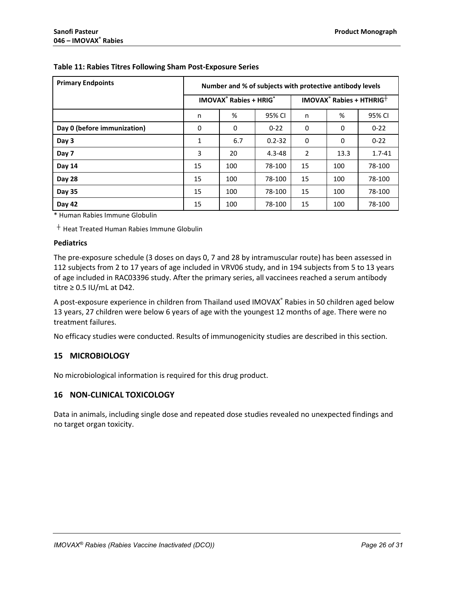| <b>Primary Endpoints</b>    | Number and % of subjects with protective antibody levels |                                                     |            |                                      |      |            |  |
|-----------------------------|----------------------------------------------------------|-----------------------------------------------------|------------|--------------------------------------|------|------------|--|
|                             |                                                          | <b>IMOVAX<sup>®</sup> Rabies + HRIG<sup>*</sup></b> |            | IMOVAX® Rabies + HTHRIG <sup>+</sup> |      |            |  |
|                             | n                                                        | %                                                   | 95% CI     | n                                    | %    | 95% CI     |  |
| Day 0 (before immunization) | 0                                                        | 0                                                   | $0 - 22$   | 0                                    | 0    | $0 - 22$   |  |
| Day 3                       | 1                                                        | 6.7                                                 | $0.2 - 32$ | 0                                    | 0    | $0 - 22$   |  |
| Day 7                       | 3                                                        | 20                                                  | $4.3 - 48$ | 2                                    | 13.3 | $1.7 - 41$ |  |
| Day 14                      | 15                                                       | 100                                                 | 78-100     | 15                                   | 100  | 78-100     |  |
| <b>Day 28</b>               | 15                                                       | 100                                                 | 78-100     | 15                                   | 100  | 78-100     |  |
| Day 35                      | 15                                                       | 100                                                 | 78-100     | 15                                   | 100  | 78-100     |  |
| Day 42                      | 15                                                       | 100                                                 | 78-100     | 15                                   | 100  | 78-100     |  |

## **Table 11: Rabies Titres Following Sham Post-Exposure Series**

\* Human Rabies Immune Globulin

 $+$  Heat Treated Human Rabies Immune Globulin

## **Pediatrics**

The pre-exposure schedule (3 doses on days 0, 7 and 28 by intramuscular route) has been assessed in 112 subjects from 2 to 17 years of age included in VRV06 study, and in 194 subjects from 5 to 13 years of age included in RAC03396 study. After the primary series, all vaccinees reached a serum antibody titre  $\geq 0.5$  IU/mL at D42.

A post-exposure experience in children from Thailand used IMOVAX® Rabies in 50 children aged below 13 years, 27 children were below 6 years of age with the youngest 12 months of age. There were no treatment failures.

No efficacy studies were conducted. Results of immunogenicity studies are described in this section.

## <span id="page-25-0"></span>**15 MICROBIOLOGY**

No microbiological information is required for this drug product.

## <span id="page-25-1"></span>**16 NON-CLINICAL TOXICOLOGY**

Data in animals, including single dose and repeated dose studies revealed no unexpected findings and no target organ toxicity.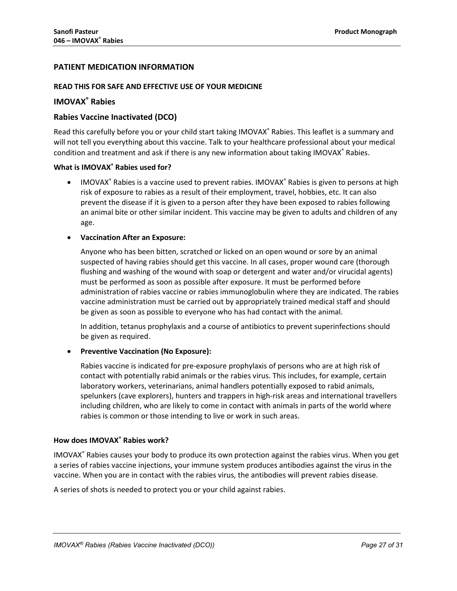## <span id="page-26-0"></span>**PATIENT MEDICATION INFORMATION**

## **READ THIS FOR SAFE AND EFFECTIVE USE OF YOUR MEDICINE**

## **IMOVAX® Rabies**

## **Rabies Vaccine Inactivated (DCO)**

Read this carefully before you or your child start taking IMOVAX® Rabies. This leaflet is a summary and will not tell you everything about this vaccine. Talk to your healthcare professional about your medical condition and treatment and ask if there is any new information about taking IMOVAX<sup>®</sup> Rabies.

## **What is IMOVAX® Rabies used for?**

• IMOVAX<sup>®</sup> Rabies is a vaccine used to prevent rabies. IMOVAX<sup>®</sup> Rabies is given to persons at high risk of exposure to rabies as a result of their employment, travel, hobbies, etc. It can also prevent the disease if it is given to a person after they have been exposed to rabies following an animal bite or other similar incident. This vaccine may be given to adults and children of any age.

## • **Vaccination After an Exposure:**

Anyone who has been bitten, scratched or licked on an open wound or sore by an animal suspected of having rabies should get this vaccine. In all cases, proper wound care (thorough flushing and washing of the wound with soap or detergent and water and/or virucidal agents) must be performed as soon as possible after exposure. It must be performed before administration of rabies vaccine or rabies immunoglobulin where they are indicated. The rabies vaccine administration must be carried out by appropriately trained medical staff and should be given as soon as possible to everyone who has had contact with the animal.

In addition, tetanus prophylaxis and a course of antibiotics to prevent superinfections should be given as required.

## • **Preventive Vaccination (No Exposure):**

Rabies vaccine is indicated for pre-exposure prophylaxis of persons who are at high risk of contact with potentially rabid animals or the rabies virus. This includes, for example, certain laboratory workers, veterinarians, animal handlers potentially exposed to rabid animals, spelunkers (cave explorers), hunters and trappers in high-risk areas and international travellers including children, who are likely to come in contact with animals in parts of the world where rabies is common or those intending to live or work in such areas.

## **How does IMOVAX® Rabies work?**

IMOVAX® Rabies causes your body to produce its own protection against the rabies virus. When you get a series of rabies vaccine injections, your immune system produces antibodies against the virus in the vaccine. When you are in contact with the rabies virus, the antibodies will prevent rabies disease.

A series of shots is needed to protect you or your child against rabies.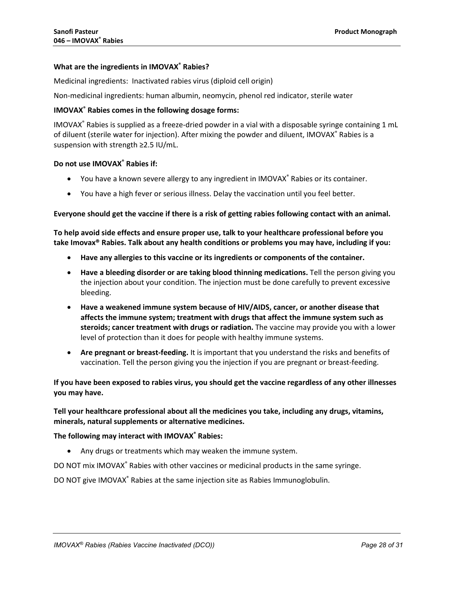## **What are the ingredients in IMOVAX® Rabies?**

Medicinal ingredients:Inactivated rabies virus (diploid cell origin)

Non-medicinal ingredients: human albumin, neomycin, phenol red indicator, sterile water

## **IMOVAX® Rabies comes in the following dosage forms:**

IMOVAX® Rabies is supplied as a freeze-dried powder in a vial with a disposable syringe containing 1 mL of diluent (sterile water for injection). After mixing the powder and diluent, IMOVAX® Rabies is a suspension with strength ≥2.5 IU/mL.

#### **Do not use IMOVAX® Rabies if:**

- You have a known severe allergy to any ingredient in IMOVAX® Rabies or its container.
- You have a high fever or serious illness. Delay the vaccination until you feel better.

#### **Everyone should get the vaccine if there is a risk of getting rabies following contact with an animal.**

**To help avoid side effects and ensure proper use, talk to your healthcare professional before you take Imovax® Rabies. Talk about any health conditions or problems you may have, including if you:**

- **Have any allergies to this vaccine or its ingredients or components of the container.**
- **Have a bleeding disorder or are taking blood thinning medications.** Tell the person giving you the injection about your condition. The injection must be done carefully to prevent excessive bleeding.
- **Have a weakened immune system because of HIV/AIDS, cancer, or another disease that affects the immune system; treatment with drugs that affect the immune system such as steroids; cancer treatment with drugs or radiation.** The vaccine may provide you with a lower level of protection than it does for people with healthy immune systems.
- **Are pregnant or breast-feeding.** It is important that you understand the risks and benefits of vaccination. Tell the person giving you the injection if you are pregnant or breast-feeding.

**If you have been exposed to rabies virus, you should get the vaccine regardless of any other illnesses you may have.**

**Tell your healthcare professional about all the medicines you take, including any drugs, vitamins, minerals, natural supplements or alternative medicines.**

## **The following may interact with IMOVAX® Rabies:**

• Any drugs or treatments which may weaken the immune system.

DO NOT mix IMOVAX® Rabies with other vaccines or medicinal products in the same syringe.

DO NOT give IMOVAX® Rabies at the same injection site as Rabies Immunoglobulin.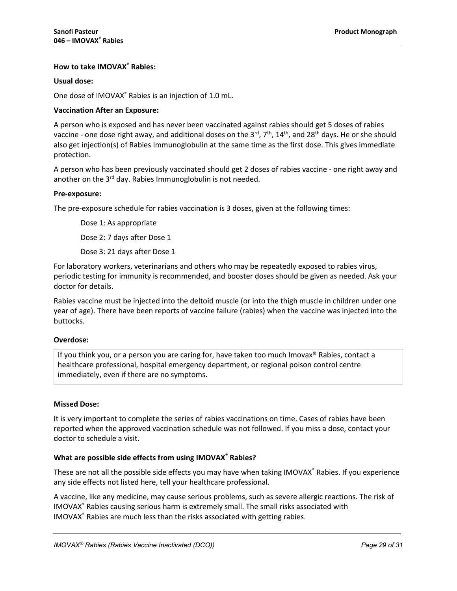## **How to take IMOVAX® Rabies:**

## **Usual dose:**

One dose of IMOVAX® Rabies is an injection of 1.0 mL.

## **Vaccination After an Exposure:**

A person who is exposed and has never been vaccinated against rabies should get 5 doses of rabies vaccine - one dose right away, and additional doses on the  $3^{rd}$ ,  $7^{th}$ ,  $14^{th}$ , and  $28^{th}$  days. He or she should also get injection(s) of Rabies Immunoglobulin at the same time as the first dose. This gives immediate protection.

A person who has been previously vaccinated should get 2 doses of rabies vaccine - one right away and another on the  $3<sup>rd</sup>$  day. Rabies Immunoglobulin is not needed.

## **Pre-exposure:**

The pre-exposure schedule for rabies vaccination is 3 doses, given at the following times:

Dose 1: As appropriate Dose 2: 7 days after Dose 1

Dose 3: 21 days after Dose 1

For laboratory workers, veterinarians and others who may be repeatedly exposed to rabies virus, periodic testing for immunity is recommended, and booster doses should be given as needed. Ask your doctor for details.

Rabies vaccine must be injected into the deltoid muscle (or into the thigh muscle in children under one year of age). There have been reports of vaccine failure (rabies) when the vaccine was injected into the buttocks.

## **Overdose:**

If you think you, or a person you are caring for, have taken too much Imovax® Rabies, contact a healthcare professional, hospital emergency department, or regional poison control centre immediately, even if there are no symptoms.

## **Missed Dose:**

It is very important to complete the series of rabies vaccinations on time. Cases of rabies have been reported when the approved vaccination schedule was not followed. If you miss a dose, contact your doctor to schedule a visit.

## **What are possible side effects from using IMOVAX® Rabies?**

These are not all the possible side effects you may have when taking IMOVAX® Rabies. If you experience any side effects not listed here, tell your healthcare professional.

A vaccine, like any medicine, may cause serious problems, such as severe allergic reactions. The risk of IMOVAX® Rabies causing serious harm is extremely small. The small risks associated with IMOVAX® Rabies are much less than the risks associated with getting rabies.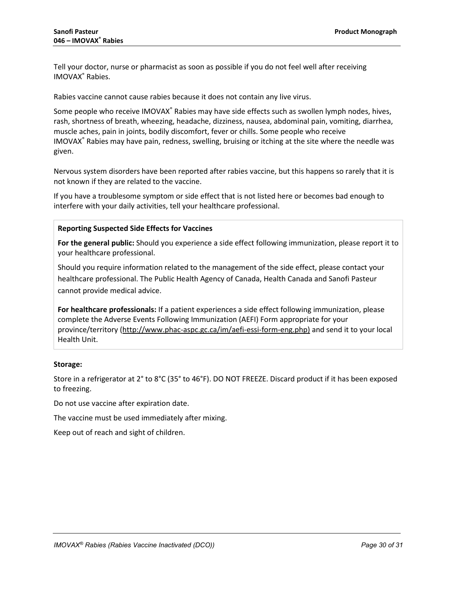Tell your doctor, nurse or pharmacist as soon as possible if you do not feel well after receiving IMOVAX® Rabies.

Rabies vaccine cannot cause rabies because it does not contain any live virus.

Some people who receive IMOVAX<sup>®</sup> Rabies may have side effects such as swollen lymph nodes, hives, rash, shortness of breath, wheezing, headache, dizziness, nausea, abdominal pain, vomiting, diarrhea, muscle aches, pain in joints, bodily discomfort, fever or chills. Some people who receive IMOVAX® Rabies may have pain, redness, swelling, bruising or itching at the site where the needle was given.

Nervous system disorders have been reported after rabies vaccine, but this happens so rarely that it is not known if they are related to the vaccine.

If you have a troublesome symptom or side effect that is not listed here or becomes bad enough to interfere with your daily activities, tell your healthcare professional.

## **Reporting Suspected Side Effects for Vaccines**

**For the general public:** Should you experience a side effect following immunization, please report it to your healthcare professional.

Should you require information related to the management of the side effect, please contact your healthcare professional. The Public Health Agency of Canada, Health Canada and Sanofi Pasteur cannot provide medical advice.

**For healthcare professionals:** If a patient experiences a side effect following immunization, please complete the Adverse Events Following Immunization (AEFI) Form appropriate for your province/territory (http://www.phac-aspc.gc.ca/im/aefi-essi-form-eng.php) and send it to your local Health Unit.

## **Storage:**

Store in a refrigerator at 2° to 8°C (35° to 46°F). DO NOT FREEZE. Discard product if it has been exposed to freezing.

Do not use vaccine after expiration date.

The vaccine must be used immediately after mixing.

Keep out of reach and sight of children.